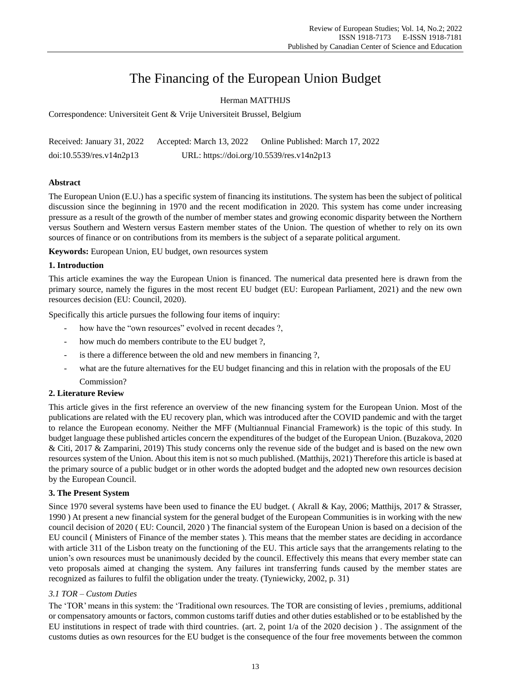# The Financing of the European Union Budget

# Herman MATTHIJS

Correspondence: Universiteit Gent & Vrije Universiteit Brussel, Belgium

| Received: January 31, 2022  | Accepted: March 13, 2022 | Online Published: March 17, 2022          |
|-----------------------------|--------------------------|-------------------------------------------|
| $doi:10.5539$ /res.v14n2p13 |                          | URL: https://doi.org/10.5539/res.v14n2p13 |

# **Abstract**

The European Union (E.U.) has a specific system of financing its institutions. The system has been the subject of political discussion since the beginning in 1970 and the recent modification in 2020. This system has come under increasing pressure as a result of the growth of the number of member states and growing economic disparity between the Northern versus Southern and Western versus Eastern member states of the Union. The question of whether to rely on its own sources of finance or on contributions from its members is the subject of a separate political argument.

**Keywords:** European Union, EU budget, own resources system

# **1. Introduction**

This article examines the way the European Union is financed. The numerical data presented here is drawn from the primary source, namely the figures in the most recent EU budget (EU: European Parliament, 2021) and the new own resources decision (EU: Council, 2020).

Specifically this article pursues the following four items of inquiry:

- how have the "own resources" evolved in recent decades ?,
- how much do members contribute to the EU budget ?,
- is there a difference between the old and new members in financing ?,
- what are the future alternatives for the EU budget financing and this in relation with the proposals of the EU Commission?

# **2. Literature Review**

This article gives in the first reference an overview of the new financing system for the European Union. Most of the publications are related with the EU recovery plan, which was introduced after the COVID pandemic and with the target to relance the European economy. Neither the MFF (Multiannual Financial Framework) is the topic of this study. In budget language these published articles concern the expenditures of the budget of the European Union. (Buzakova, 2020 & Citi, 2017 & Zamparini, 2019) This study concerns only the revenue side of the budget and is based on the new own resources system of the Union. About this item is not so much published. (Matthijs, 2021) Therefore this article is based at the primary source of a public budget or in other words the adopted budget and the adopted new own resources decision by the European Council.

# **3. The Present System**

Since 1970 several systems have been used to finance the EU budget. ( Akrall & Kay, 2006; Matthijs, 2017 & Strasser, 1990 ) At present a new financial system for the general budget of the European Communities is in working with the new council decision of 2020 ( EU: Council, 2020 ) The financial system of the European Union is based on a decision of the EU council ( Ministers of Finance of the member states ). This means that the member states are deciding in accordance with article 311 of the Lisbon treaty on the functioning of the EU. This article says that the arrangements relating to the union's own resources must be unanimously decided by the council. Effectively this means that every member state can veto proposals aimed at changing the system. Any failures int transferring funds caused by the member states are recognized as failures to fulfil the obligation under the treaty. (Tyniewicky, 2002, p. 31)

# *3.1 TOR – Custom Duties*

The 'TOR' means in this system: the 'Traditional own resources. The TOR are consisting of levies , premiums, additional or compensatory amounts or factors, common customs tariff duties and other duties established or to be established by the EU institutions in respect of trade with third countries. (art. 2, point 1/a of the 2020 decision ) . The assignment of the customs duties as own resources for the EU budget is the consequence of the four free movements between the common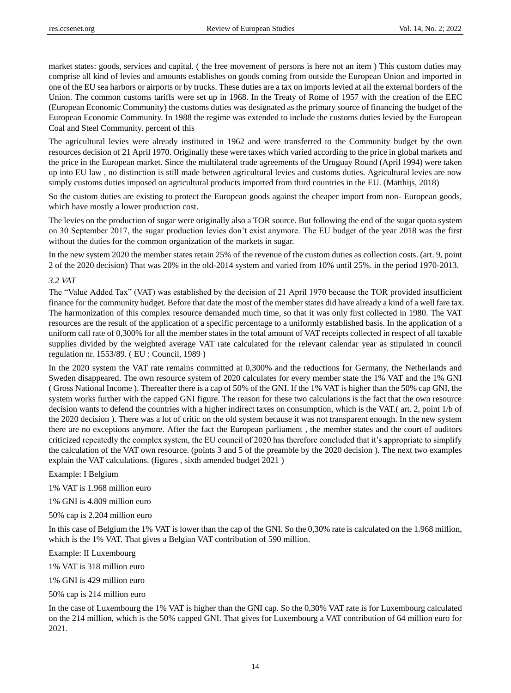market states: goods, services and capital. ( the free movement of persons is here not an item ) This custom duties may comprise all kind of levies and amounts establishes on goods coming from outside the European Union and imported in one of the EU sea harbors or airports or by trucks. These duties are a tax on imports levied at all the external borders of the Union. The common customs tariffs were set up in 1968. In the Treaty of Rome of 1957 with the creation of the EEC (European Economic Community) the customs duties was designated as the primary source of financing the budget of the European Economic Community. In 1988 the regime was extended to include the customs duties levied by the European Coal and Steel Community. percent of this

The agricultural levies were already instituted in 1962 and were transferred to the Community budget by the own resources decision of 21 April 1970. Originally these were taxes which varied according to the price in global markets and the price in the European market. Since the multilateral trade agreements of the Uruguay Round (April 1994) were taken up into EU law , no distinction is still made between agricultural levies and customs duties. Agricultural levies are now simply customs duties imposed on agricultural products imported from third countries in the EU. (Matthijs, 2018)

So the custom duties are existing to protect the European goods against the cheaper import from non- European goods, which have mostly a lower production cost.

The levies on the production of sugar were originally also a TOR source. But following the end of the sugar quota system on 30 September 2017, the sugar production levies don't exist anymore. The EU budget of the year 2018 was the first without the duties for the common organization of the markets in sugar.

In the new system 2020 the member states retain 25% of the revenue of the custom duties as collection costs. (art. 9, point 2 of the 2020 decision) That was 20% in the old-2014 system and varied from 10% until 25%. in the period 1970-2013.

# *3.2 VAT*

The "Value Added Tax" (VAT) was established by the decision of 21 April 1970 because the TOR provided insufficient finance for the community budget. Before that date the most of the member states did have already a kind of a well fare tax. The harmonization of this complex resource demanded much time, so that it was only first collected in 1980. The VAT resources are the result of the application of a specific percentage to a uniformly established basis. In the application of a uniform call rate of 0,300% for all the member states in the total amount of VAT receipts collected in respect of all taxable supplies divided by the weighted average VAT rate calculated for the relevant calendar year as stipulated in council regulation nr. 1553/89. ( EU : Council, 1989 )

In the 2020 system the VAT rate remains committed at 0,300% and the reductions for Germany, the Netherlands and Sweden disappeared. The own resource system of 2020 calculates for every member state the 1% VAT and the 1% GNI ( Gross National Income ). Thereafter there is a cap of 50% of the GNI. If the 1% VAT is higher than the 50% cap GNI, the system works further with the capped GNI figure. The reason for these two calculations is the fact that the own resource decision wants to defend the countries with a higher indirect taxes on consumption, which is the VAT.( art. 2, point 1/b of the 2020 decision ). There was a lot of critic on the old system because it was not transparent enough. In the new system there are no exceptions anymore. After the fact the European parliament , the member states and the court of auditors criticized repeatedly the complex system, the EU council of 2020 has therefore concluded that it's appropriate to simplify the calculation of the VAT own resource. (points 3 and 5 of the preamble by the 2020 decision ). The next two examples explain the VAT calculations. (figures , sixth amended budget 2021 )

# Example: I Belgium

1% VAT is 1.968 million euro

1% GNI is 4.809 million euro

50% cap is 2.204 million euro

In this case of Belgium the 1% VAT is lower than the cap of the GNI. So the 0,30% rate is calculated on the 1.968 million, which is the 1% VAT. That gives a Belgian VAT contribution of 590 million.

Example: II Luxembourg

1% VAT is 318 million euro

1% GNI is 429 million euro

50% cap is 214 million euro

In the case of Luxembourg the 1% VAT is higher than the GNI cap. So the 0,30% VAT rate is for Luxembourg calculated on the 214 million, which is the 50% capped GNI. That gives for Luxembourg a VAT contribution of 64 million euro for 2021.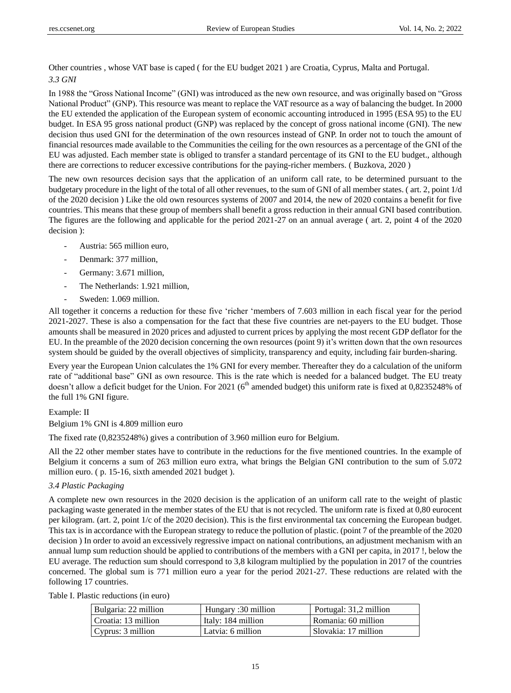Other countries , whose VAT base is caped ( for the EU budget 2021 ) are Croatia, Cyprus, Malta and Portugal. *3.3 GNI* 

In 1988 the "Gross National Income" (GNI) was introduced as the new own resource, and was originally based on "Gross National Product" (GNP). This resource was meant to replace the VAT resource as a way of balancing the budget. In 2000 the EU extended the application of the European system of economic accounting introduced in 1995 (ESA 95) to the EU budget. In ESA 95 gross national product (GNP) was replaced by the concept of gross national income (GNI). The new decision thus used GNI for the determination of the own resources instead of GNP. In order not to touch the amount of financial resources made available to the Communities the ceiling for the own resources as a percentage of the GNI of the EU was adjusted. Each member state is obliged to transfer a standard percentage of its GNI to the EU budget., although there are corrections to reducer excessive contributions for the paying-richer members. ( Buzkova, 2020 )

The new own resources decision says that the application of an uniform call rate, to be determined pursuant to the budgetary procedure in the light of the total of all other revenues, to the sum of GNI of all member states. ( art. 2, point 1/d of the 2020 decision ) Like the old own resources systems of 2007 and 2014, the new of 2020 contains a benefit for five countries. This means that these group of members shall benefit a gross reduction in their annual GNI based contribution. The figures are the following and applicable for the period 2021-27 on an annual average ( art. 2, point 4 of the 2020 decision ):

- Austria: 565 million euro,
- Denmark: 377 million,
- Germany: 3.671 million,
- The Netherlands: 1.921 million,
- Sweden: 1.069 million.

All together it concerns a reduction for these five 'richer 'members of 7.603 million in each fiscal year for the period 2021-2027. These is also a compensation for the fact that these five countries are net-payers to the EU budget. Those amounts shall be measured in 2020 prices and adjusted to current prices by applying the most recent GDP deflator for the EU. In the preamble of the 2020 decision concerning the own resources (point 9) it's written down that the own resources system should be guided by the overall objectives of simplicity, transparency and equity, including fair burden-sharing.

Every year the European Union calculates the 1% GNI for every member. Thereafter they do a calculation of the uniform rate of "additional base" GNI as own resource. This is the rate which is needed for a balanced budget. The EU treaty doesn't allow a deficit budget for the Union. For 2021 (6<sup>th</sup> amended budget) this uniform rate is fixed at 0,8235248% of the full 1% GNI figure.

Example: II

Belgium 1% GNI is 4.809 million euro

The fixed rate (0,8235248%) gives a contribution of 3.960 million euro for Belgium.

All the 22 other member states have to contribute in the reductions for the five mentioned countries. In the example of Belgium it concerns a sum of 263 million euro extra, what brings the Belgian GNI contribution to the sum of 5.072 million euro. ( p. 15-16, sixth amended 2021 budget ).

# *3.4 Plastic Packaging*

A complete new own resources in the 2020 decision is the application of an uniform call rate to the weight of plastic packaging waste generated in the member states of the EU that is not recycled. The uniform rate is fixed at 0,80 eurocent per kilogram. (art. 2, point 1/c of the 2020 decision). This is the first environmental tax concerning the European budget. This tax is in accordance with the European strategy to reduce the pollution of plastic. (point 7 of the preamble of the 2020 decision ) In order to avoid an excessively regressive impact on national contributions, an adjustment mechanism with an annual lump sum reduction should be applied to contributions of the members with a GNI per capita, in 2017 !, below the EU average. The reduction sum should correspond to 3,8 kilogram multiplied by the population in 2017 of the countries concerned. The global sum is 771 million euro a year for the period 2021-27. These reductions are related with the following 17 countries.

| Table I. Plastic reductions (in euro) |  |  |  |
|---------------------------------------|--|--|--|
|---------------------------------------|--|--|--|

| Bulgaria: 22 million | Hungary :30 million | Portugal: 31,2 million |
|----------------------|---------------------|------------------------|
| Croatia: 13 million  | Italy: 184 million  | Romania: 60 million    |
| Cyprus: 3 million    | Latvia: 6 million   | I Slovakia: 17 million |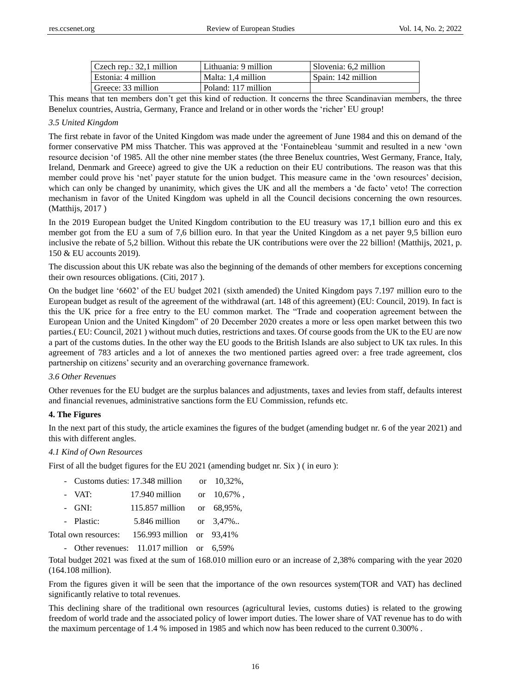| $\vert$ Czech rep.: 32,1 million | Lithuania: 9 million | Slovenia: 6.2 million |
|----------------------------------|----------------------|-----------------------|
| Estonia: 4 million               | Malta: 1.4 million   | l Spain: 142 million  |
| Greece: 33 million               | Poland: 117 million  |                       |

This means that ten members don't get this kind of reduction. It concerns the three Scandinavian members, the three Benelux countries, Austria, Germany, France and Ireland or in other words the 'richer' EU group!

# *3.5 United Kingdom*

The first rebate in favor of the United Kingdom was made under the agreement of June 1984 and this on demand of the former conservative PM miss Thatcher. This was approved at the 'Fontainebleau 'summit and resulted in a new 'own resource decision 'of 1985. All the other nine member states (the three Benelux countries, West Germany, France, Italy, Ireland, Denmark and Greece) agreed to give the UK a reduction on their EU contributions. The reason was that this member could prove his 'net' payer statute for the union budget. This measure came in the 'own resources' decision, which can only be changed by unanimity, which gives the UK and all the members a 'de facto' veto! The correction mechanism in favor of the United Kingdom was upheld in all the Council decisions concerning the own resources. (Matthijs, 2017 )

In the 2019 European budget the United Kingdom contribution to the EU treasury was 17,1 billion euro and this ex member got from the EU a sum of 7,6 billion euro. In that year the United Kingdom as a net payer 9,5 billion euro inclusive the rebate of 5,2 billion. Without this rebate the UK contributions were over the 22 billion! (Matthijs, 2021, p. 150 & EU accounts 2019).

The discussion about this UK rebate was also the beginning of the demands of other members for exceptions concerning their own resources obligations. (Citi, 2017 ).

On the budget line '6602' of the EU budget 2021 (sixth amended) the United Kingdom pays 7.197 million euro to the European budget as result of the agreement of the withdrawal (art. 148 of this agreement) (EU: Council, 2019). In fact is this the UK price for a free entry to the EU common market. The "Trade and cooperation agreement between the European Union and the United Kingdom" of 20 December 2020 creates a more or less open market between this two parties.( EU: Council, 2021 ) without much duties, restrictions and taxes. Of course goods from the UK to the EU are now a part of the customs duties. In the other way the EU goods to the British Islands are also subject to UK tax rules. In this agreement of 783 articles and a lot of annexes the two mentioned parties agreed over: a free trade agreement, clos partnership on citizens' security and an overarching governance framework.

# *3.6 Other Revenues*

Other revenues for the EU budget are the surplus balances and adjustments, taxes and levies from staff, defaults interest and financial revenues, administrative sanctions form the EU Commission, refunds etc.

# **4. The Figures**

In the next part of this study, the article examines the figures of the budget (amending budget nr. 6 of the year 2021) and this with different angles.

# *4.1 Kind of Own Resources*

First of all the budget figures for the EU 2021 (amending budget nr. Six ) ( in euro ):

| - VAT:<br>17.940 million or 10,67%,<br>$-$ GNI:<br>115.857 million or 68,95%,<br>- Plastic:<br>5.846 million or 3,47%<br>156.993 million or 93,41%<br>Total own resources: | - Customs duties: 17.348 million | or $10,32\%$ . |
|----------------------------------------------------------------------------------------------------------------------------------------------------------------------------|----------------------------------|----------------|
|                                                                                                                                                                            |                                  |                |
|                                                                                                                                                                            |                                  |                |
|                                                                                                                                                                            |                                  |                |
|                                                                                                                                                                            |                                  |                |

- Other revenues: 11.017 million or 6,59%

Total budget 2021 was fixed at the sum of 168.010 million euro or an increase of 2,38% comparing with the year 2020 (164.108 million).

From the figures given it will be seen that the importance of the own resources system(TOR and VAT) has declined significantly relative to total revenues.

This declining share of the traditional own resources (agricultural levies, customs duties) is related to the growing freedom of world trade and the associated policy of lower import duties. The lower share of VAT revenue has to do with the maximum percentage of 1.4 % imposed in 1985 and which now has been reduced to the current 0.300% .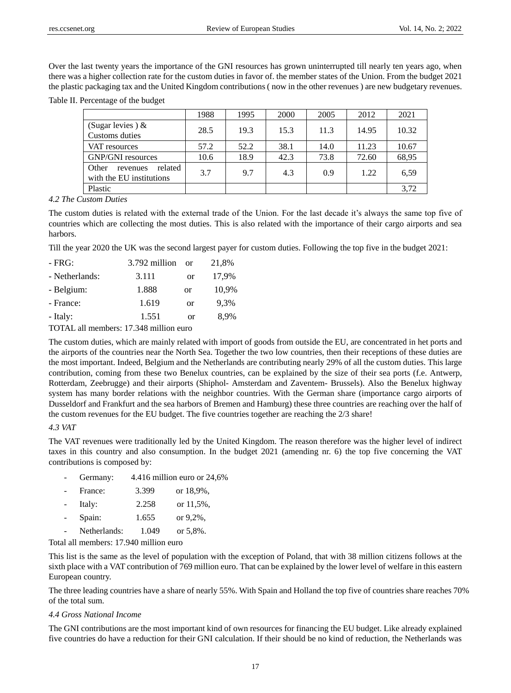Over the last twenty years the importance of the GNI resources has grown uninterrupted till nearly ten years ago, when there was a higher collection rate for the custom duties in favor of. the member states of the Union. From the budget 2021 the plastic packaging tax and the United Kingdom contributions ( now in the other revenues ) are new budgetary revenues.

Table II. Percentage of the budget

|                                                          | 1988 | 1995 | 2000 | 2005 | 2012  | 2021  |
|----------------------------------------------------------|------|------|------|------|-------|-------|
| (Sugar levies) $\&$                                      | 28.5 | 19.3 | 15.3 | 11.3 | 14.95 | 10.32 |
| Customs duties                                           |      |      |      |      |       |       |
| VAT resources                                            | 57.2 | 52.2 | 38.1 | 14.0 | 11.23 | 10.67 |
| <b>GNP/GNI</b> resources                                 | 10.6 | 18.9 | 42.3 | 73.8 | 72.60 | 68,95 |
| Other<br>related<br>revenues<br>with the EU institutions | 3.7  | 9.7  | 4.3  | 0.9  | 1.22  | 6,59  |
| Plastic                                                  |      |      |      |      |       | 3,72  |

#### *4.2 The Custom Duties*

The custom duties is related with the external trade of the Union. For the last decade it's always the same top five of countries which are collecting the most duties. This is also related with the importance of their cargo airports and sea harbors.

Till the year 2020 the UK was the second largest payer for custom duties. Following the top five in the budget 2021:

| - FRG:                                 | 3.792 million | $\alpha$ | 21,8% |  |
|----------------------------------------|---------------|----------|-------|--|
| - Netherlands:                         | 3.111         | or       | 17,9% |  |
| - Belgium:                             | 1.888         | or       | 10,9% |  |
| - France:                              | 1.619         | or       | 9,3%  |  |
| - Italy:                               | 1.551         | or       | 8,9%  |  |
| TOTAL all mambers: 17.348 million euro |               |          |       |  |

TOTAL all members: 17.348 million euro

The custom duties, which are mainly related with import of goods from outside the EU, are concentrated in het ports and the airports of the countries near the North Sea. Together the two low countries, then their receptions of these duties are the most important. Indeed, Belgium and the Netherlands are contributing nearly 29% of all the custom duties. This large contribution, coming from these two Benelux countries, can be explained by the size of their sea ports (f.e. Antwerp, Rotterdam, Zeebrugge) and their airports (Shiphol- Amsterdam and Zaventem- Brussels). Also the Benelux highway system has many border relations with the neighbor countries. With the German share (importance cargo airports of Dusseldorf and Frankfurt and the sea harbors of Bremen and Hamburg) these three countries are reaching over the half of the custom revenues for the EU budget. The five countries together are reaching the 2/3 share!

# *4.3 VAT*

The VAT revenues were traditionally led by the United Kingdom. The reason therefore was the higher level of indirect taxes in this country and also consumption. In the budget 2021 (amending nr. 6) the top five concerning the VAT contributions is composed by:

|  | Germany: | 4.416 million euro or $24,6\%$ |
|--|----------|--------------------------------|
|--|----------|--------------------------------|

| $\sim$     | France: | 3.399 | or $18.9\%$ . |
|------------|---------|-------|---------------|
| $\sim$ $-$ | Italy:  | 2.258 | or $11.5%$ .  |
| $\sim$     | Spain:  | 1.655 | or $9,2\%$ ,  |

Netherlands: 1.049 or 5.8%.

Total all members: 17.940 million euro

This list is the same as the level of population with the exception of Poland, that with 38 million citizens follows at the sixth place with a VAT contribution of 769 million euro. That can be explained by the lower level of welfare in this eastern European country.

The three leading countries have a share of nearly 55%. With Spain and Holland the top five of countries share reaches 70% of the total sum.

# *4.4 Gross National Income*

The GNI contributions are the most important kind of own resources for financing the EU budget. Like already explained five countries do have a reduction for their GNI calculation. If their should be no kind of reduction, the Netherlands was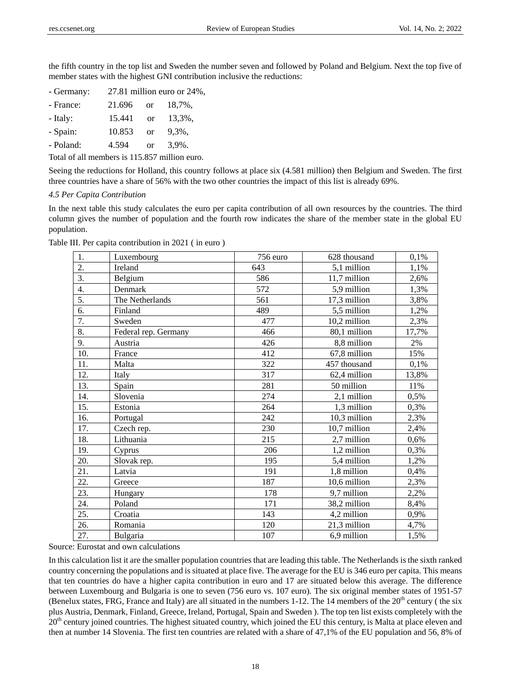the fifth country in the top list and Sweden the number seven and followed by Poland and Belgium. Next the top five of member states with the highest GNI contribution inclusive the reductions:

- Germany: 27.81 million euro or 24%,
- France: 21.696 or 18,7%,
- Italy: 15.441 or 13.3%,
- Spain: 10.853 or 9,3%,

- Poland: 4.594 or 3,9%.

Total of all members is 115.857 million euro.

Seeing the reductions for Holland, this country follows at place six (4.581 million) then Belgium and Sweden. The first three countries have a share of 56% with the two other countries the impact of this list is already 69%.

# *4.5 Per Capita Contribution*

In the next table this study calculates the euro per capita contribution of all own resources by the countries. The third column gives the number of population and the fourth row indicates the share of the member state in the global EU population.

| 1.  | Luxembourg           | 756 euro | 628 thousand | 0,1%  |
|-----|----------------------|----------|--------------|-------|
| 2.  | Ireland              | 643      | 5,1 million  | 1,1%  |
| 3.  | Belgium              | 586      | 11,7 million | 2,6%  |
| 4.  | Denmark              | 572      | 5,9 million  | 1,3%  |
| 5.  | The Netherlands      | 561      | 17,3 million | 3,8%  |
| 6.  | Finland              | 489      | 5,5 million  | 1,2%  |
| 7.  | Sweden               | 477      | 10,2 million | 2,3%  |
| 8.  | Federal rep. Germany | 466      | 80,1 million | 17,7% |
| 9.  | Austria              | 426      | 8,8 million  | 2%    |
| 10. | France               | 412      | 67,8 million | 15%   |
| 11. | Malta                | 322      | 457 thousand | 0,1%  |
| 12. | Italy                | 317      | 62,4 million | 13,8% |
| 13. | Spain                | 281      | 50 million   | 11%   |
| 14. | Slovenia             | 274      | 2,1 million  | 0,5%  |
| 15. | Estonia              | 264      | 1,3 million  | 0,3%  |
| 16. | Portugal             | 242      | 10,3 million | 2,3%  |
| 17. | Czech rep.           | 230      | 10,7 million | 2,4%  |
| 18. | Lithuania            | 215      | 2,7 million  | 0,6%  |
| 19. | Cyprus               | 206      | 1,2 million  | 0,3%  |
| 20. | Slovak rep.          | 195      | 5,4 million  | 1,2%  |
| 21. | Latvia               | 191      | 1,8 million  | 0,4%  |
| 22. | Greece               | 187      | 10,6 million | 2,3%  |
| 23. | Hungary              | 178      | 9,7 million  | 2,2%  |
| 24. | Poland               | 171      | 38,2 million | 8,4%  |
| 25. | Croatia              | 143      | 4,2 million  | 0,9%  |
| 26. | Romania              | 120      | 21,3 million | 4,7%  |
| 27. | Bulgaria             | 107      | 6.9 million  | 1,5%  |

Table III. Per capita contribution in 2021 ( in euro )

Source: Eurostat and own calculations

In this calculation list it are the smaller population countries that are leading this table. The Netherlands is the sixth ranked country concerning the populations and is situated at place five. The average for the EU is 346 euro per capita. This means that ten countries do have a higher capita contribution in euro and 17 are situated below this average. The difference between Luxembourg and Bulgaria is one to seven (756 euro vs. 107 euro). The six original member states of 1951-57 (Benelux states, FRG, France and Italy) are all situated in the numbers 1-12. The 14 members of the  $20<sup>th</sup>$  century (the six plus Austria, Denmark, Finland, Greece, Ireland, Portugal, Spain and Sweden ). The top ten list exists completely with the  $20<sup>th</sup>$  century joined countries. The highest situated country, which joined the EU this century, is Malta at place eleven and then at number 14 Slovenia. The first ten countries are related with a share of 47,1% of the EU population and 56, 8% of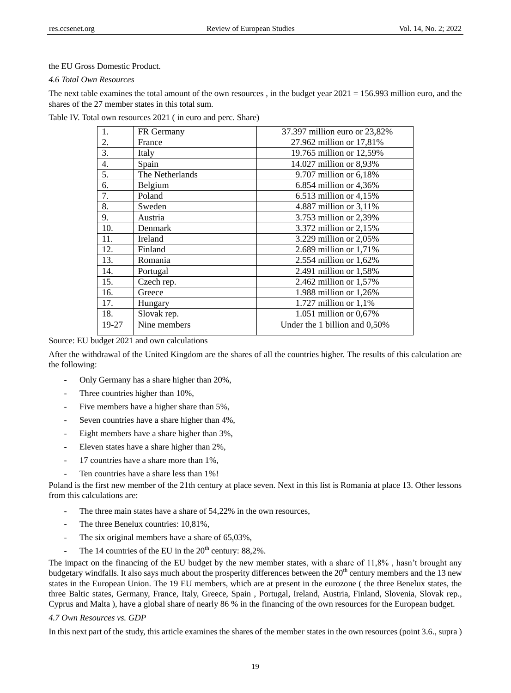### the EU Gross Domestic Product.

#### *4.6 Total Own Resources*

The next table examines the total amount of the own resources, in the budget year  $2021 = 156.993$  million euro, and the shares of the 27 member states in this total sum.

| Table IV. Total own resources 2021 (in euro and perc. Share) |  |  |
|--------------------------------------------------------------|--|--|
|--------------------------------------------------------------|--|--|

| 1.    | FR Germany      | 37.397 million euro or 23,82% |
|-------|-----------------|-------------------------------|
| 2.    | France          | 27.962 million or 17,81%      |
| 3.    | Italy           | 19.765 million or 12,59%      |
| 4.    | Spain           | 14.027 million or 8,93%       |
| 5.    | The Netherlands | 9.707 million or 6,18%        |
| 6.    | Belgium         | $6.854$ million or $4,36\%$   |
| 7.    | Poland          | 6.513 million or 4,15%        |
| 8.    | Sweden          | 4.887 million or 3,11%        |
| 9.    | Austria         | 3.753 million or 2,39%        |
| 10.   | Denmark         | 3.372 million or 2,15%        |
| 11.   | Ireland         | 3.229 million or 2,05%        |
| 12.   | Finland         | 2.689 million or 1,71%        |
| 13.   | Romania         | 2.554 million or 1,62%        |
| 14.   | Portugal        | 2.491 million or 1,58%        |
| 15.   | Czech rep.      | 2.462 million or 1,57%        |
| 16.   | Greece          | 1.988 million or 1,26%        |
| 17.   | Hungary         | 1.727 million or $1,1\%$      |
| 18.   | Slovak rep.     | 1.051 million or 0,67%        |
| 19-27 | Nine members    | Under the 1 billion and 0,50% |

Source: EU budget 2021 and own calculations

After the withdrawal of the United Kingdom are the shares of all the countries higher. The results of this calculation are the following:

- Only Germany has a share higher than 20%,
- Three countries higher than 10%,
- Five members have a higher share than 5%,
- Seven countries have a share higher than 4%,
- Eight members have a share higher than  $3\%$ ,
- Eleven states have a share higher than 2%,
- 17 countries have a share more than 1%.
- Ten countries have a share less than 1%!

Poland is the first new member of the 21th century at place seven. Next in this list is Romania at place 13. Other lessons from this calculations are:

- The three main states have a share of 54,22% in the own resources,
- The three Benelux countries:  $10,81\%$ ,
- The six original members have a share of 65,03%,
- The 14 countries of the EU in the  $20<sup>th</sup>$  century: 88,2%.

The impact on the financing of the EU budget by the new member states, with a share of 11,8% , hasn't brought any budgetary windfalls. It also says much about the prosperity differences between the 20<sup>th</sup> century members and the 13 new states in the European Union. The 19 EU members, which are at present in the eurozone ( the three Benelux states, the three Baltic states, Germany, France, Italy, Greece, Spain , Portugal, Ireland, Austria, Finland, Slovenia, Slovak rep., Cyprus and Malta ), have a global share of nearly 86 % in the financing of the own resources for the European budget.

#### *4.7 Own Resources vs. GDP*

In this next part of the study, this article examines the shares of the member states in the own resources (point 3.6., supra )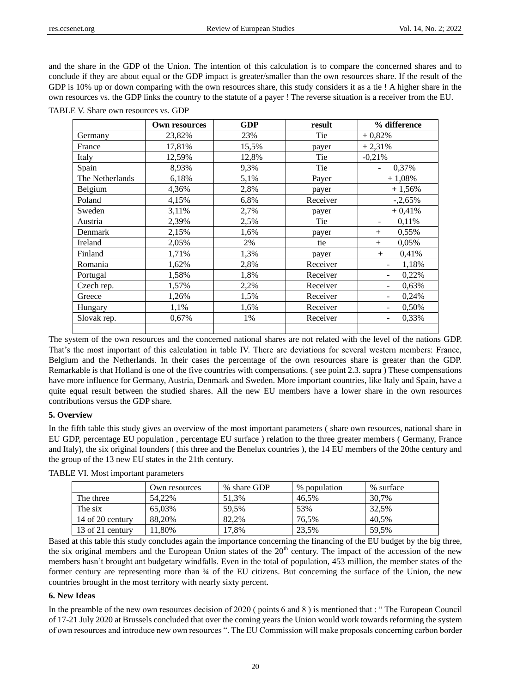and the share in the GDP of the Union. The intention of this calculation is to compare the concerned shares and to conclude if they are about equal or the GDP impact is greater/smaller than the own resources share. If the result of the GDP is 10% up or down comparing with the own resources share, this study considers it as a tie ! A higher share in the own resources vs. the GDP links the country to the statute of a payer ! The reverse situation is a receiver from the EU.

| <b>TABLE V. Share own resources vs. GDP</b> |  |  |  |  |  |
|---------------------------------------------|--|--|--|--|--|
|---------------------------------------------|--|--|--|--|--|

|                 | Own resources | GDP   | result   | % difference                      |
|-----------------|---------------|-------|----------|-----------------------------------|
| Germany         | 23,82%        | 23%   | Tie      | $+0,82%$                          |
| France          | 17,81%        | 15,5% | payer    | $+2,31%$                          |
| Italy           | 12,59%        | 12,8% | Tie      | $-0,21%$                          |
| Spain           | 8,93%         | 9,3%  | Tie      | 0,37%                             |
| The Netherlands | 6,18%         | 5,1%  | Payer    | $+1,08%$                          |
| Belgium         | 4,36%         | 2,8%  | payer    | $+1,56%$                          |
| Poland          | 4,15%         | 6,8%  | Receiver | $-.2,65\%$                        |
| Sweden          | 3,11%         | 2,7%  | payer    | $+0,41%$                          |
| Austria         | 2,39%         | 2,5%  | Tie      | 0,11%                             |
| Denmark         | 2,15%         | 1,6%  | payer    | 0,55%<br>$^{+}$                   |
| Ireland         | 2,05%         | 2%    | tie      | 0,05%<br>$^{+}$                   |
| Finland         | 1,71%         | 1,3%  | payer    | 0,41%<br>$^{+}$                   |
| Romania         | 1,62%         | 2,8%  | Receiver | 1,18%<br>$\overline{\phantom{a}}$ |
| Portugal        | 1,58%         | 1,8%  | Receiver | 0,22%<br>$\overline{\phantom{a}}$ |
| Czech rep.      | 1,57%         | 2,2%  | Receiver | 0.63%                             |
| Greece          | 1,26%         | 1,5%  | Receiver | 0,24%                             |
| Hungary         | 1,1%          | 1,6%  | Receiver | 0,50%                             |
| Slovak rep.     | 0,67%         | 1%    | Receiver | 0,33%<br>$\overline{\phantom{a}}$ |
|                 |               |       |          |                                   |

The system of the own resources and the concerned national shares are not related with the level of the nations GDP. That's the most important of this calculation in table IV. There are deviations for several western members: France, Belgium and the Netherlands. In their cases the percentage of the own resources share is greater than the GDP. Remarkable is that Holland is one of the five countries with compensations. ( see point 2.3. supra ) These compensations have more influence for Germany, Austria, Denmark and Sweden. More important countries, like Italy and Spain, have a quite equal result between the studied shares. All the new EU members have a lower share in the own resources contributions versus the GDP share.

# **5. Overview**

In the fifth table this study gives an overview of the most important parameters ( share own resources, national share in EU GDP, percentage EU population , percentage EU surface ) relation to the three greater members ( Germany, France and Italy), the six original founders ( this three and the Benelux countries ), the 14 EU members of the 20the century and the group of the 13 new EU states in the 21th century.

|                  | Own resources | % share GDP | % population | % surface |
|------------------|---------------|-------------|--------------|-----------|
| The three        | 54.22%        | 51.3%       | 46.5%        | 30.7%     |
| The six          | 65.03%        | 59.5%       | 53%          | 32.5%     |
| 14 of 20 century | 88.20%        | 82.2%       | 76,5%        | 40.5%     |
| 13 of 21 century | $1,80\%$      | 17.8%       | 23.5%        | 59.5%     |

TABLE VI. Most important parameters

Based at this table this study concludes again the importance concerning the financing of the EU budget by the big three, the six original members and the European Union states of the  $20<sup>th</sup>$  century. The impact of the accession of the new members hasn't brought ant budgetary windfalls. Even in the total of population, 453 million, the member states of the former century are representing more than  $\frac{3}{4}$  of the EU citizens. But concerning the surface of the Union, the new countries brought in the most territory with nearly sixty percent.

#### **6. New Ideas**

In the preamble of the new own resources decision of 2020 ( points 6 and 8 ) is mentioned that : " The European Council of 17-21 July 2020 at Brussels concluded that over the coming years the Union would work towards reforming the system of own resources and introduce new own resources ". The EU Commission will make proposals concerning carbon border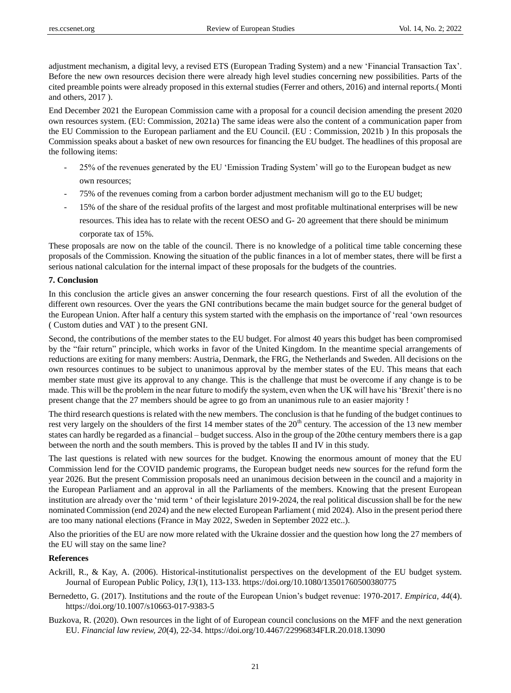adjustment mechanism, a digital levy, a revised ETS (European Trading System) and a new 'Financial Transaction Tax'. Before the new own resources decision there were already high level studies concerning new possibilities. Parts of the cited preamble points were already proposed in this external studies (Ferrer and others, 2016) and internal reports.( Monti and others, 2017 ).

End December 2021 the European Commission came with a proposal for a council decision amending the present 2020 own resources system. (EU: Commission, 2021a) The same ideas were also the content of a communication paper from the EU Commission to the European parliament and the EU Council. (EU : Commission, 2021b ) In this proposals the Commission speaks about a basket of new own resources for financing the EU budget. The headlines of this proposal are the following items:

- 25% of the revenues generated by the EU 'Emission Trading System' will go to the European budget as new own resources;
- 75% of the revenues coming from a carbon border adjustment mechanism will go to the EU budget;
- 15% of the share of the residual profits of the largest and most profitable multinational enterprises will be new resources. This idea has to relate with the recent OESO and G- 20 agreement that there should be minimum

corporate tax of 15%.

These proposals are now on the table of the council. There is no knowledge of a political time table concerning these proposals of the Commission. Knowing the situation of the public finances in a lot of member states, there will be first a serious national calculation for the internal impact of these proposals for the budgets of the countries.

#### **7. Conclusion**

In this conclusion the article gives an answer concerning the four research questions. First of all the evolution of the different own resources. Over the years the GNI contributions became the main budget source for the general budget of the European Union. After half a century this system started with the emphasis on the importance of 'real 'own resources ( Custom duties and VAT ) to the present GNI.

Second, the contributions of the member states to the EU budget. For almost 40 years this budget has been compromised by the "fair return" principle, which works in favor of the United Kingdom. In the meantime special arrangements of reductions are exiting for many members: Austria, Denmark, the FRG, the Netherlands and Sweden. All decisions on the own resources continues to be subject to unanimous approval by the member states of the EU. This means that each member state must give its approval to any change. This is the challenge that must be overcome if any change is to be made. This will be the problem in the near future to modify the system, even when the UK will have his 'Brexit' there is no present change that the 27 members should be agree to go from an unanimous rule to an easier majority !

The third research questions is related with the new members. The conclusion is that he funding of the budget continues to rest very largely on the shoulders of the first 14 member states of the 20<sup>th</sup> century. The accession of the 13 new member states can hardly be regarded as a financial – budget success. Also in the group of the 20the century members there is a gap between the north and the south members. This is proved by the tables II and IV in this study.

The last questions is related with new sources for the budget. Knowing the enormous amount of money that the EU Commission lend for the COVID pandemic programs, the European budget needs new sources for the refund form the year 2026. But the present Commission proposals need an unanimous decision between in the council and a majority in the European Parliament and an approval in all the Parliaments of the members. Knowing that the present European institution are already over the 'mid term ' of their legislature 2019-2024, the real political discussion shall be for the new nominated Commission (end 2024) and the new elected European Parliament ( mid 2024). Also in the present period there are too many national elections (France in May 2022, Sweden in September 2022 etc..).

Also the priorities of the EU are now more related with the Ukraine dossier and the question how long the 27 members of the EU will stay on the same line?

#### **References**

- Ackrill, R., & Kay, A. (2006). Historical-institutionalist perspectives on the development of the EU budget system. Journal of European Public Policy, *13*(1), 113-133. <https://doi.org/10.1080/13501760500380775>
- Bernedetto, G. (2017). Institutions and the route of the European Union's budget revenue: 1970-2017. *Empirica, 44*(4). <https://doi.org/10.1007/s10663-017-9383-5>
- Buzkova, R. (2020). Own resources in the light of of European council conclusions on the MFF and the next generation EU. *Financial law review, 20*(4), 22-34. <https://doi.org/10.4467/22996834FLR.20.018.13090>